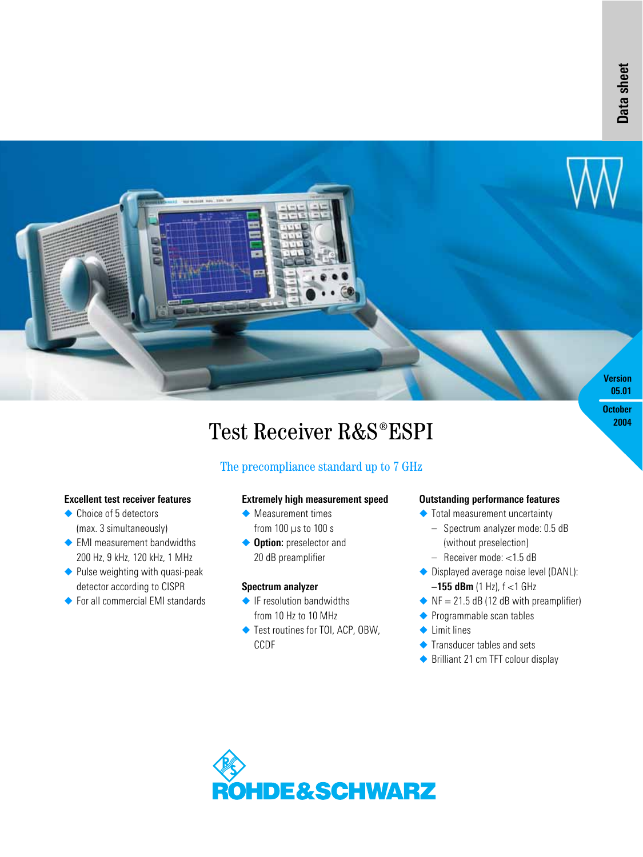**2004**



# Test Receiver R&S®ESPI

## The precompliance standard up to 7 GHz

#### **Excellent test receiver features**

- ◆ Choice of 5 detectors (max. 3 simultaneously)
- ◆ EMI measurement bandwidths 200 Hz, 9 kHz, 120 kHz, 1 MHz
- ◆ Pulse weighting with quasi-peak detector according to CISPR
- ◆ For all commercial EMI standards

#### **Extremely high measurement speed**

- ◆ Measurement times from 100 µs to 100 s
- ◆ **Option:** preselector and 20 dB preamplifier

#### **Spectrum analyzer**

- ◆ IF resolution bandwidths from 10 Hz to 10 MHz
- ◆ Test routines for TOI, ACP, OBW, CCDF

#### **Outstanding performance features**

- ◆ Total measurement uncertainty
	- Spectrum analyzer mode: 0.5 dB (without preselection)
	- Receiver mode: <1.5 dB
- ◆ Displayed average noise level (DANL): **–155 dBm** (1 Hz), f <1 GHz
- $\blacklozenge$  NF = 21.5 dB (12 dB with preamplifier)
- ◆ Programmable scan tables
- ◆ Limit lines
- ◆ Transducer tables and sets
- ◆ Brilliant 21 cm TFT colour display

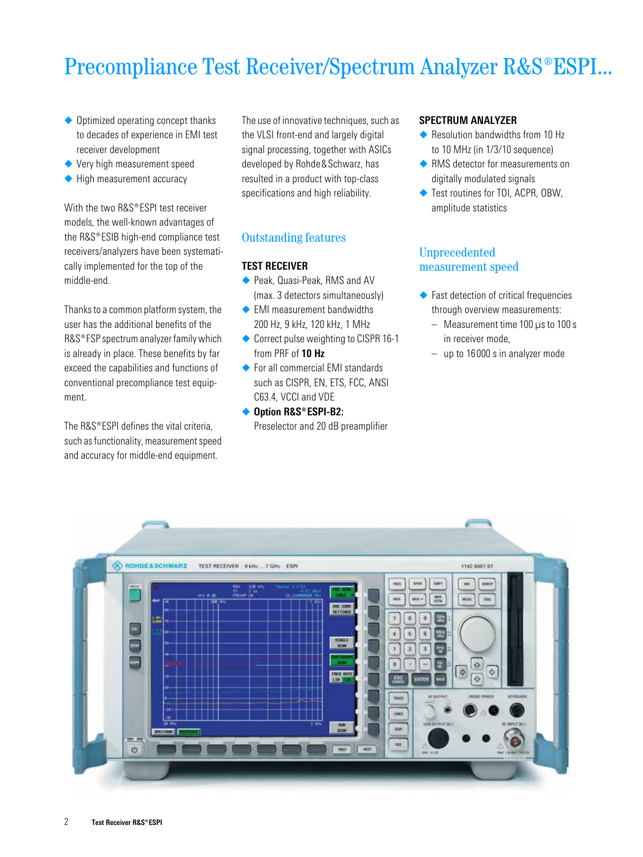## Precompliance Test Receiver/Spectrum Analyzer R&S®ESPI...

- ◆ Optimized operating concept thanks to decades of experience in EMI test receiver development
- ◆ Very high measurement speed
- ◆ High measurement accuracy

With the two R&S®ESPI test receiver models, the well-known advantages of the R&S®ESIB high-end compliance test receivers/analyzers have been systematically implemented for the top of the middle-end.

Thanks to a common platform system, the user has the additional benefits of the R&S<sup>®</sup>FSP spectrum analyzer family which is already in place. These benefits by far exceed the capabilities and functions of conventional precompliance test equipment.

The  $RRS^{\circ}$  FSPI defines the vital criteria. such as functionality, measurement speed and accuracy for middle-end equipment.

The use of innovative techniques, such as the VLSI front-end and largely digital signal processing, together with ASICs developed by Rohde&Schwarz, has resulted in a product with top-class specifications and high reliability.

### Outstanding features

#### **TEST RECEIVER**

- ◆ Peak, Quasi-Peak, RMS and AV (max. 3 detectors simultaneously)
- ◆ EMI measurement bandwidths 200 Hz, 9 kHz, 120 kHz, 1 MHz
- ◆ Correct pulse weighting to CISPR 16-1 from PRF of **10 Hz**
- ◆ For all commercial FMI standards such as CISPR, EN, ETS, FCC, ANSI C63.4, VCCI and VDE
- ◆ Option R&S®ESPI-B2: Preselector and 20 dB preamplifier

#### **SPECTRUM ANALYZER**

- ◆ Resolution bandwidths from 10 Hz to 10 MHz (in 1/3/10 sequence)
- ◆ RMS detector for measurements on digitally modulated signals
- ◆ Test routines for TOI, ACPR, OBW, amplitude statistics

#### Unprecedented measurement speed

- ◆ Fast detection of critical frequencies through overview measurements:
	- Measurement time 100 us to 100 s in receiver mode,
	- up to 16000 s in analyzer mode

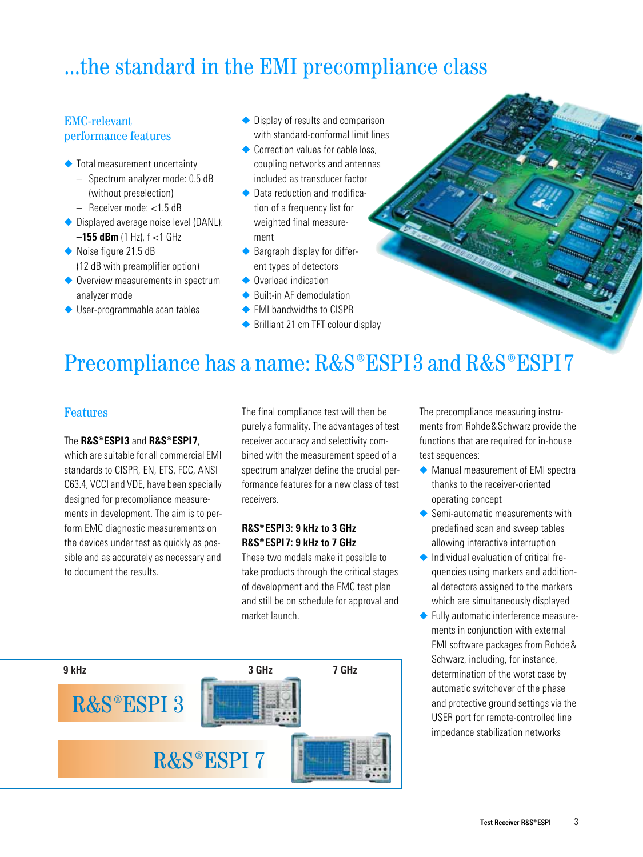## ...the standard in the EMI precompliance class

## EMC-relevant performance features

- ◆ Total measurement uncertainty
	- Spectrum analyzer mode: 0.5 dB (without preselection)
	- Receiver mode: <1.5 dB
- ◆ Displayed average noise level (DANL): **–155 dBm** (1 Hz), f <1 GHz
- ◆ Noise figure 21.5 dB (12 dB with preamplifier option)
- ◆ Overview measurements in spectrum analyzer mode
- ◆ User-programmable scan tables
- ◆ Display of results and comparison with standard-conformal limit lines
- ◆ Correction values for cable loss coupling networks and antennas included as transducer factor
- ◆ Data reduction and modification of a frequency list for weighted final measurement
- ◆ Bargraph display for different types of detectors
- ◆ Overload indication
- ◆ Built-in AF demodulation
- ◆ FMI bandwidths to CISPR
- ◆ Brilliant 21 cm TFT colour display

## Precompliance has a name: R&S®ESPI3 and R&S®ESPI7

### Features

#### The **R&S®ESPI3** and **R&S®ESPI7**

which are suitable for all commercial EMI standards to CISPR, FN, FTS, FCC, ANSI C63.4, VCCI and VDE, have been specially designed for precompliance measurements in development. The aim is to perform EMC diagnostic measurements on the devices under test as quickly as possible and as accurately as necessary and to document the results.

The final compliance test will then be purely a formality. The advantages of test receiver accuracy and selectivity combined with the measurement speed of a spectrum analyzer define the crucial performance features for a new class of test receivers.

#### **¸ESPI3: 9 kHz to 3 GHz ¸ESPI7: 9 kHz to 7 GHz**

These two models make it possible to take products through the critical stages of development and the EMC test plan and still be on schedule for approval and market launch.



The precompliance measuring instruments from Rohde&Schwarz provide the functions that are required for in-house test sequences:

- ◆ Manual measurement of EMI spectra thanks to the receiver-oriented operating concept
- ◆ Semi-automatic measurements with predefined scan and sweep tables allowing interactive interruption
- ◆ Individual evaluation of critical frequencies using markers and additional detectors assigned to the markers which are simultaneously displayed
- ◆ Fully automatic interference measurements in conjunction with external EMI software packages from Rohde& Schwarz, including, for instance, determination of the worst case by automatic switchover of the phase and protective ground settings via the USER port for remote-controlled line impedance stabilization networks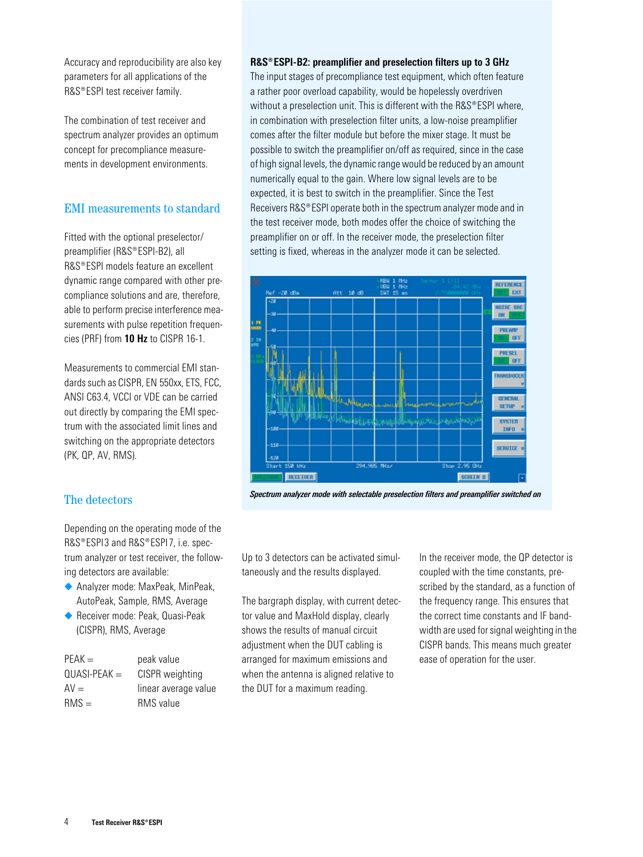Accuracy and reproducibility are also key parameters for all applications of the R&S®ESPI test receiver family.

The combination of test receiver and spectrum analyzer provides an optimum concept for precompliance measurements in development environments.

## EMI measurements to standard

Fitted with the optional preselector/ preamplifier (R&S® FSPI-B2), all R&S®ESPI models feature an excellent dynamic range compared with other precompliance solutions and are, therefore, able to perform precise interference measurements with pulse repetition frequencies (PRF) from **10 Hz** to CISPR 16-1.

Measurements to commercial EMI standards such as CISPR, EN 550xx, ETS, FCC, ANSI C63.4, VCCI or VDE can be carried out directly by comparing the EMI spectrum with the associated limit lines and switching on the appropriate detectors (PK, QP, AV, RMS).

## The detectors

Depending on the operating mode of the R&S®FSPI3 and R&S®FSPI7, i.e. spectrum analyzer or test receiver, the following detectors are available:

- ◆ Analyzer mode: MaxPeak, MinPeak, AutoPeak, Sample, RMS, Average
- ◆ Receiver mode: Peak, Quasi-Peak (CISPR), RMS, Average

| $PEAK =$       | peak value           |
|----------------|----------------------|
| $QUASI-PEAK =$ | CISPR weighting      |
| $AV =$         | linear average value |
| $RMS =$        | RMS value            |

#### **¸ESPI-B2: preamplifier and preselection filters up to 3 GHz**

The input stages of precompliance test equipment, which often feature a rather poor overload capability, would be hopelessly overdriven without a preselection unit. This is different with the R&S®ESPI where. in combination with preselection filter units, a low-noise preamplifier comes after the filter module but before the mixer stage. It must be possible to switch the preamplifier on/off as required, since in the case of high signal levels, the dynamic range would be reduced by an amount numerically equal to the gain. Where low signal levels are to be expected, it is best to switch in the preamplifier. Since the Test Receivers R&S® ESPI operate both in the spectrum analyzer mode and in the test receiver mode, both modes offer the choice of switching the preamplifier on or off. In the receiver mode, the preselection filter setting is fixed, whereas in the analyzer mode it can be selected.



*Spectrum analyzer mode with selectable preselection filters and preamplifier switched on*

Up to 3 detectors can be activated simultaneously and the results displayed.

The bargraph display, with current detector value and MaxHold display, clearly shows the results of manual circuit adjustment when the DUT cabling is arranged for maximum emissions and when the antenna is aligned relative to the DUT for a maximum reading.

In the receiver mode, the QP detector is coupled with the time constants, prescribed by the standard, as a function of the frequency range. This ensures that the correct time constants and IF bandwidth are used for signal weighting in the CISPR bands. This means much greater ease of operation for the user.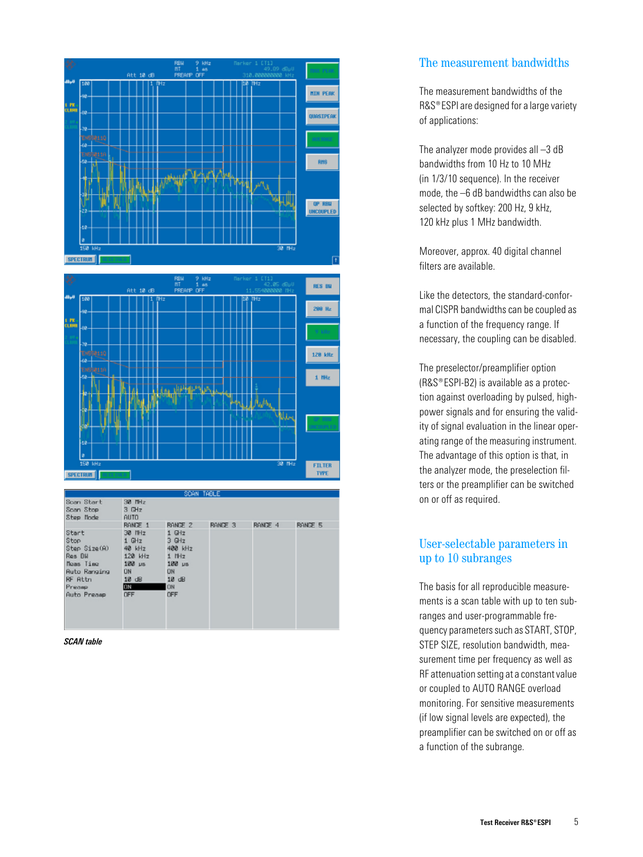

|                                                                                                                        |                                                                                                                |                                                                                                                   | SDAN TABLE |         |         |
|------------------------------------------------------------------------------------------------------------------------|----------------------------------------------------------------------------------------------------------------|-------------------------------------------------------------------------------------------------------------------|------------|---------|---------|
| Scan Start<br>Scan Stop<br>Step Node                                                                                   | 30 MHz<br>3 GHz<br><b>AUTO</b>                                                                                 |                                                                                                                   |            |         |         |
| Start<br>Stop<br>Step Size(A)<br>Res BH<br>Meas Time<br><b>Auto Ranging</b><br><b>RF Attn</b><br>Preasp<br>Auto Presse | RANGE 1<br>30 MHz<br>1 GHz<br>40 kHz<br>120 kHz<br>$100 \text{ vs.}$<br><b>DN</b><br>10 dB<br><b>ON</b><br>OFF | RANGE 2<br>$1$ GHz<br>$30+z$<br>400 kHz<br>$1$ H $z$<br>$100$ $\mu$ s<br><b>ON</b><br>$18$ dB<br><b>ON</b><br>OFF | RANDE 3    | RANGE 4 | RANGE 5 |

**TYPE** 

*SCAN table*

SPECTRUM

## The measurement bandwidths

The measurement bandwidths of the R&S<sup>®</sup> ESPI are designed for a large variety of applications:

The analyzer mode provides all –3 dB bandwidths from 10 Hz to 10 MHz (in 1/3/10 sequence). In the receiver mode, the –6 dB bandwidths can also be selected by softkey: 200 Hz, 9 kHz, 120 kHz plus 1 MHz bandwidth.

Moreover, approx. 40 digital channel filters are available.

Like the detectors, the standard-conformal CISPR bandwidths can be coupled as a function of the frequency range. If necessary, the coupling can be disabled.

The preselector/preamplifier option  $(RAS<sup>®</sup>ESPI-B2)$  is available as a protection against overloading by pulsed, highpower signals and for ensuring the validity of signal evaluation in the linear operating range of the measuring instrument. The advantage of this option is that, in the analyzer mode, the preselection filters or the preamplifier can be switched on or off as required.

## User-selectable parameters in up to 10 subranges

The basis for all reproducible measurements is a scan table with up to ten subranges and user-programmable frequency parameters such as START, STOP, STEP SIZE, resolution bandwidth, measurement time per frequency as well as RF attenuation setting at a constant value or coupled to AUTO RANGE overload monitoring. For sensitive measurements (if low signal levels are expected), the preamplifier can be switched on or off as a function of the subrange.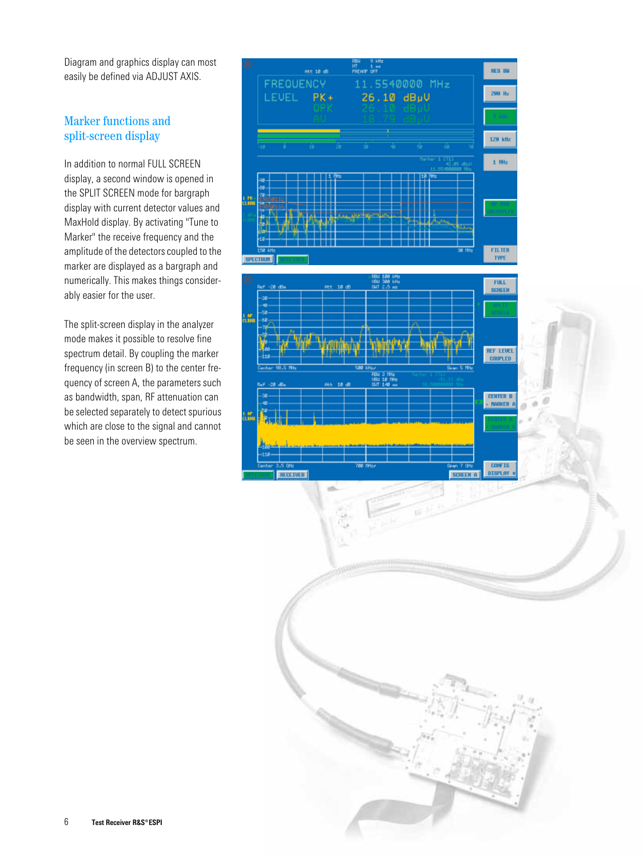Diagram and graphics display can most easily be defined via ADJUST AXIS.

## Marker functions and split-screen display

In addition to normal FULL SCREEN display, a second window is opened in the SPLIT SCREEN mode for bargraph display with current detector values and MaxHold display. By activating "Tune to Marker" the receive frequency and the amplitude of the detectors coupled to the marker are displayed as a bargraph and numerically. This makes things considerably easier for the user.

The split-screen display in the analyzer mode makes it possible to resolve fine spectrum detail. By coupling the marker frequency (in screen B) to the center frequency of screen A, the parameters such as bandwidth, span, RF attenuation can be selected separately to detect spurious which are close to the signal and cannot be seen in the overview spectrum.

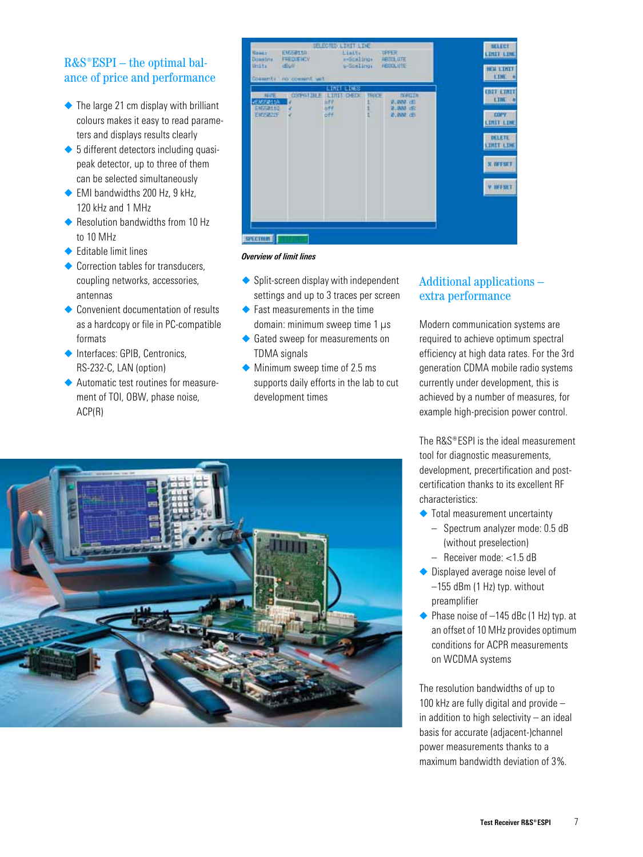## $R&S^*ESPI - the optimal bal$ ance of price and performance

- $\triangle$  The large 21 cm display with brilliant colours makes it easy to read parameters and displays results clearly
- ◆ 5 different detectors including quasipeak detector, up to three of them can be selected simultaneously
- ◆ EMI bandwidths 200 Hz, 9 kHz, 120 kHz and 1 MHz
- ◆ Resolution bandwidths from 10 Hz to 10 MHz
- ◆ Editable limit lines
- ◆ Correction tables for transducers coupling networks, accessories, antennas
- ◆ Convenient documentation of results as a hardcopy or file in PC-compatible formats
- ◆ Interfaces: GPIB, Centronics, RS-232-C, LAN (option)
- ◆ Automatic test routines for measurement of TOI, OBW, phase noise, ACP(R)



#### *Overview of limit lines*

- ◆ Split-screen display with independent settings and up to 3 traces per screen
- $\blacklozenge$  Fast measurements in the time domain: minimum sweep time 1 us
- ◆ Gated sweep for measurements on TDMA signals
- ◆ Minimum sweep time of 2.5 ms supports daily efforts in the lab to cut development times

### Additional applications – extra performance

Modern communication systems are required to achieve optimum spectral efficiency at high data rates. For the 3rd generation CDMA mobile radio systems currently under development, this is achieved by a number of measures, for example high-precision power control.

The  $RSS^{\circ}$  FSPI is the ideal measurement tool for diagnostic measurements, development, precertification and postcertification thanks to its excellent RF characteristics:

- ◆ Total measurement uncertainty
	- Spectrum analyzer mode: 0.5 dB (without preselection)
	- Receiver mode: <1.5 dB
- ◆ Displayed average noise level of –155 dBm (1 Hz) typ. without preamplifier
- $\triangle$  Phase noise of  $-145$  dBc (1 Hz) typ. at an offset of 10 MHz provides optimum conditions for ACPR measurements on WCDMA systems

The resolution bandwidths of up to 100 kHz are fully digital and provide – in addition to high selectivity – an ideal basis for accurate (adjacent-)channel power measurements thanks to a maximum bandwidth deviation of 3%.

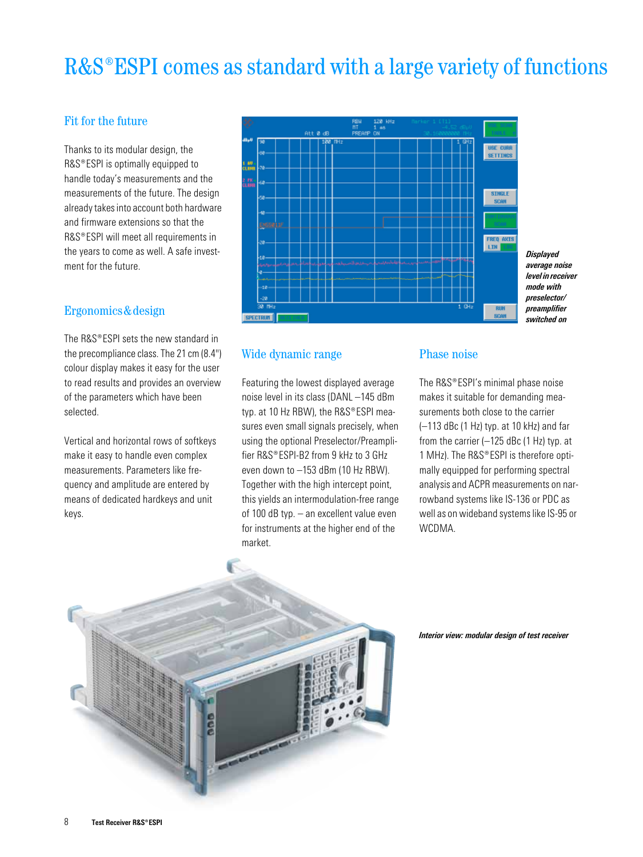## R&S<sup>®</sup>ESPI comes as standard with a large variety of functions

## Fit for the future

Thanks to its modular design, the R&S®ESPI is optimally equipped to handle today's measurements and the measurements of the future. The design already takes into account both hardware and firmware extensions so that the R&S®ESPI will meet all requirements in the years to come as well. A safe investment for the future.

#### Ergonomics&design

The  $RAS^*FSPI$  sets the new standard in the precompliance class. The 21 cm (8.4") colour display makes it easy for the user to read results and provides an overview of the parameters which have been selected.

Vertical and horizontal rows of softkeys make it easy to handle even complex measurements. Parameters like frequency and amplitude are entered by means of dedicated hardkeys and unit keys.



*Displayed average noise level in receiver mode with preselector/ preamplifier switched on*

#### Wide dynamic range

Featuring the lowest displayed average noise level in its class (DANL –145 dBm typ. at 10 Hz RBW), the R&S®ESPI measures even small signals precisely, when using the optional Preselector/Preamplifier R&S® FSPI-B2 from 9 kHz to 3 GHz even down to –153 dBm (10 Hz RBW). Together with the high intercept point, this yields an intermodulation-free range of 100 dB typ. – an excellent value even for instruments at the higher end of the market.

#### Phase noise

The  $RAS^{\circ}ESPI's$  minimal phase noise makes it suitable for demanding measurements both close to the carrier (–113 dBc (1 Hz) typ. at 10 kHz) and far from the carrier  $(-125$  dBc  $(1$  Hz) typ. at 1 MHz). The R&S®ESPI is therefore optimally equipped for performing spectral analysis and ACPR measurements on narrowband systems like IS-136 or PDC as well as on wideband systems like IS-95 or WCDMA.



*Interior view: modular design of test receiver*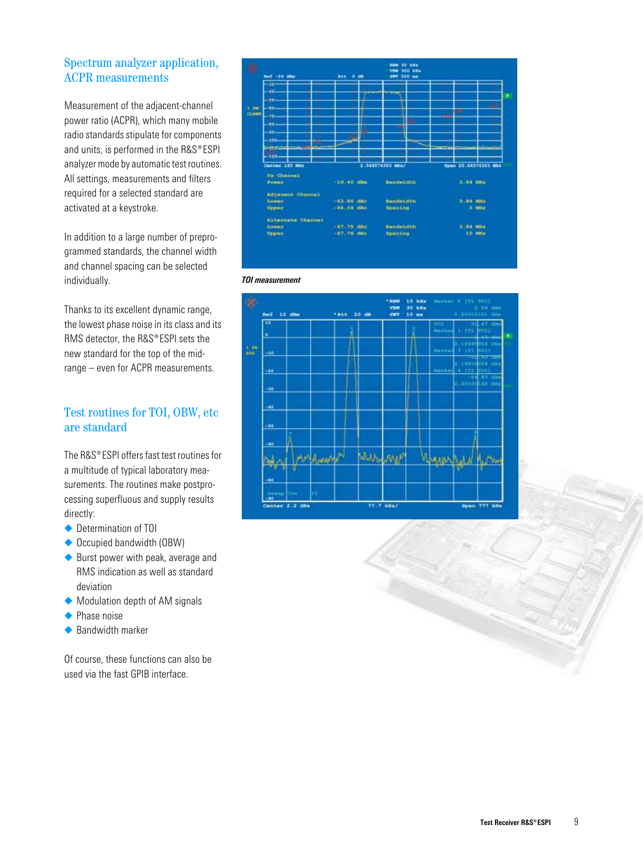## Spectrum analyzer application, ACPR measurements

Measurement of the adjacent-channel power ratio (ACPR), which many mobile radio standards stipulate for components and units, is performed in the  $RAS^{\circ}ESPI$ analyzer mode by automatic test routines. All settings, measurements and filters required for a selected standard are activated at a keystroke.

In addition to a large number of preprogrammed standards, the channel width and channel spacing can be selected individually.

Thanks to its excellent dynamic range, the lowest phase noise in its class and its RMS detector, the R&S®ESPI sets the new standard for the top of the midrange – even for ACPR measurements.

## Test routines for TOI, OBW, etc are standard

The  $RAS^{\circledast}$  FSPI offers fast test routines for a multitude of typical laboratory measurements. The routines make postprocessing superfluous and supply results directly:

- ◆ Determination of TOI
- ◆ Occupied bandwidth (OBW)
- ◆ Burst power with peak, average and RMS indication as well as standard deviation
- ◆ Modulation depth of AM signals
- ◆ Phase noise
- ◆ Bandwidth marker

Of course, these functions can also be used via the fast GPIB interface.





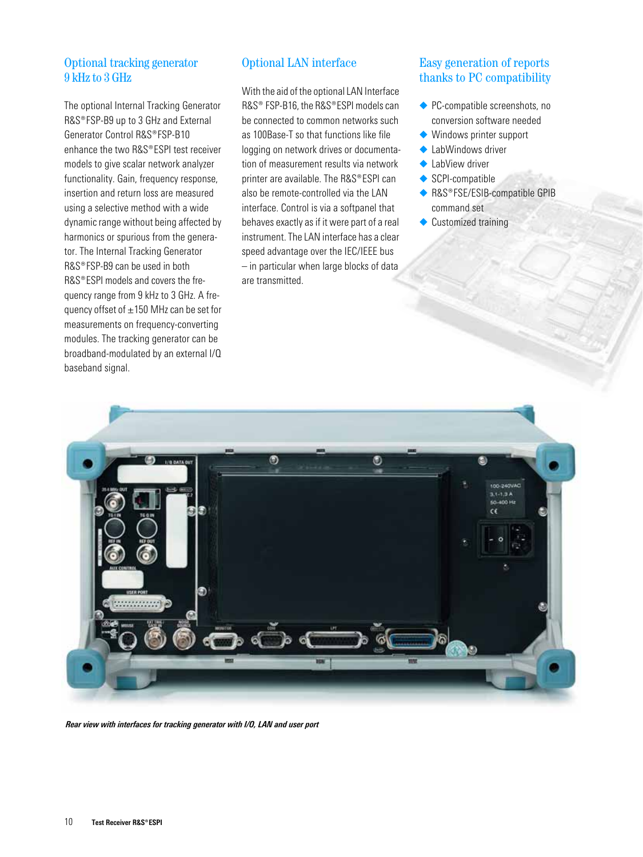## Optional tracking generator 9 kHz to 3 GHz

The optional Internal Tracking Generator R&S®FSP-B9 up to 3 GHz and External Generator Control R&S®FSP-B10 enhance the two R&S® FSPI test receiver models to give scalar network analyzer functionality. Gain, frequency response. insertion and return loss are measured using a selective method with a wide dynamic range without being affected by harmonics or spurious from the generator. The Internal Tracking Generator  $RAS^{\circ}$  FSP-B9 can be used in both R&S®ESPI models and covers the frequency range from 9 kHz to 3 GHz. A frequency offset of  $\pm 150$  MHz can be set for measurements on frequency-converting modules. The tracking generator can be broadband-modulated by an external I/Q baseband signal.

## Optional LAN interface

With the aid of the optional LAN Interface R&S<sup>®</sup> FSP-B16, the R&S®ESPI models can be connected to common networks such as 100Base-T so that functions like file logging on network drives or documentation of measurement results via network printer are available. The  $RAS^{\circ}$  FSPI can also be remote-controlled via the LAN interface. Control is via a softpanel that behaves exactly as if it were part of a real instrument. The LAN interface has a clear speed advantage over the IEC/IEEE bus – in particular when large blocks of data are transmitted.

### Easy generation of reports thanks to PC compatibility

- ◆ PC-compatible screenshots, no conversion software needed
- ◆ Windows printer support
- ◆ LabWindows driver
- ◆ LabView driver
- ◆ SCPI-compatible
- ◆ R&S®FSE/ESIB-compatible GPIB command set
- ◆ Customized training



*Rear view with interfaces for tracking generator with I/O, LAN and user port*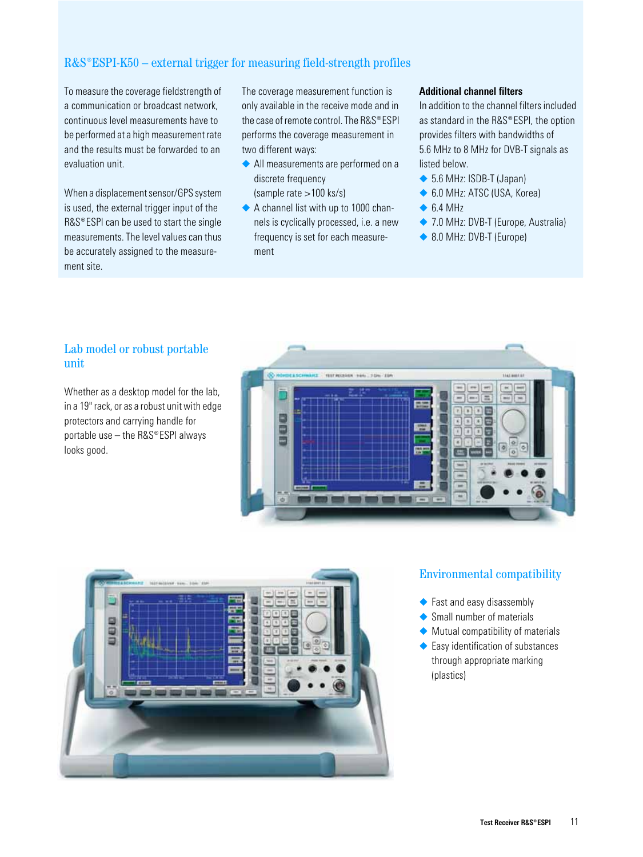## $R&S^*ESPI-K50$  – external trigger for measuring field-strength profiles

To measure the coverage fieldstrength of a communication or broadcast network, continuous level measurements have to be performed at a high measurement rate and the results must be forwarded to an evaluation unit.

When a displacement sensor/GPS system is used, the external trigger input of the  $RAS^{\circ}$  ESPI can be used to start the single measurements. The level values can thus be accurately assigned to the measurement site.

The coverage measurement function is only available in the receive mode and in the case of remote control. The  $RAS^{\circ}ESPI$ performs the coverage measurement in two different ways:

- ◆ All measurements are performed on a discrete frequency (sample rate >100 ks/s)
- ◆ A channel list with up to 1000 channels is cyclically processed, i.e. a new frequency is set for each measurement

#### **Additional channel filters**

In addition to the channel filters included as standard in the R&S®ESPI, the option provides filters with bandwidths of 5.6 MHz to 8 MHz for DVB-T signals as listed below.

- ◆ 5.6 MHz: ISDB-T (Japan)
- ◆ 6.0 MHz: ATSC (USA, Korea)
- $\triangle$  6.4 MHz
- ◆ 7.0 MHz: DVB-T (Europe, Australia)
- ◆ 8.0 MHz: DVB-T (Europe)

### Lab model or robust portable unit

Whether as a desktop model for the lab. in a 19" rack, or as a robust unit with edge protectors and carrying handle for portable use  $-$  the R&S®ESPI always looks good.





#### Environmental compatibility

- ◆ Fast and easy disassembly
- ◆ Small number of materials
- ◆ Mutual compatibility of materials
- ◆ Easy identification of substances through appropriate marking (plastics)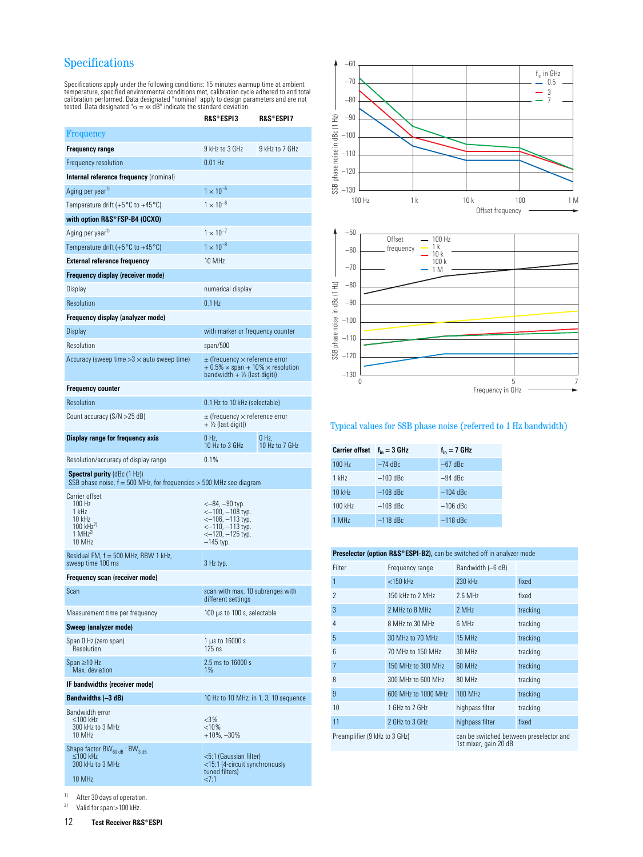## Specifications

Specifications apply under the following conditions: 15 minutes warmup time at ambient<br>temperature, specified environmental conditions met, calibration cycle adhered to and total<br>calibration performed. Data designated "nom

|                                                                                                                  | R&S®ESPI3                                                                                                                                  | R&S®ESPI7               |
|------------------------------------------------------------------------------------------------------------------|--------------------------------------------------------------------------------------------------------------------------------------------|-------------------------|
| Frequency                                                                                                        |                                                                                                                                            |                         |
| <b>Frequency range</b>                                                                                           | 9 kHz to 3 GHz                                                                                                                             | 9 kHz to 7 GHz          |
| Frequency resolution                                                                                             | $0.01$ Hz                                                                                                                                  |                         |
| Internal reference frequency (nominal)                                                                           |                                                                                                                                            |                         |
| Aging per year <sup>1)</sup>                                                                                     | $1 \times 10^{-6}$                                                                                                                         |                         |
| Temperature drift (+5 $^{\circ}$ C to +45 $^{\circ}$ C)                                                          | $1 \times 10^{-6}$                                                                                                                         |                         |
| with option R&S®FSP-B4 (OCXO)                                                                                    |                                                                                                                                            |                         |
| Aging per year <sup>1)</sup>                                                                                     | $1 \times 10^{-7}$                                                                                                                         |                         |
| Temperature drift (+5 $^{\circ}$ C to +45 $^{\circ}$ C)                                                          | $1 \times 10^{-8}$                                                                                                                         |                         |
| <b>External reference frequency</b>                                                                              | 10 MHz                                                                                                                                     |                         |
| Frequency display (receiver mode)                                                                                |                                                                                                                                            |                         |
| Display                                                                                                          | numerical display                                                                                                                          |                         |
| Resolution                                                                                                       | $0.1$ Hz                                                                                                                                   |                         |
| Frequency display (analyzer mode)                                                                                |                                                                                                                                            |                         |
| Display                                                                                                          | with marker or frequency counter                                                                                                           |                         |
| Resolution                                                                                                       | span/500                                                                                                                                   |                         |
| Accuracy (sweep time $>3 \times$ auto sweep time)                                                                | $\pm$ (frequency $\times$ reference error<br>$+0.5\% \times$ span + 10% $\times$ resolution<br>bandwidth + $\frac{1}{2}$ (last digit))     |                         |
| <b>Frequency counter</b>                                                                                         |                                                                                                                                            |                         |
| Resolution                                                                                                       | 0.1 Hz to 10 kHz (selectable)                                                                                                              |                         |
| Count accuracy (S/N > 25 dB)                                                                                     | $\pm$ (frequency $\times$ reference error<br>$+$ 1/2 (last digit))                                                                         |                         |
| Display range for frequency axis                                                                                 | 0 Hz.<br>10 Hz to 3 GHz                                                                                                                    | 0 Hz.<br>10 Hz to 7 GHz |
| Resolution/accuracy of display range                                                                             | 0.1%                                                                                                                                       |                         |
| <b>Spectral purity</b> (dBc (1 Hz))<br>SSB phase noise, $f = 500$ MHz, for frequencies $> 500$ MHz see diagram   |                                                                                                                                            |                         |
| Carrier offset<br>100 Hz<br>1 kHz<br>10 kHz<br>$100 \text{ kHz}^{2}$<br>1 MH <sub>7</sub> <sup>2</sup><br>10 MHz | $<-84$ , $-90$ typ.<br><—100, —108 typ.<br>$\leftarrow$ 106, $-113$ typ.<br><—110, —113 typ.<br>$\leftarrow$ 120, $-125$ typ.<br>—145 typ. |                         |
| Residual FM, $f = 500$ MHz, RBW 1 kHz,<br>sweep time 100 ms                                                      | 3 Hz typ.                                                                                                                                  |                         |
| Frequency scan (receiver mode)                                                                                   |                                                                                                                                            |                         |
| Scan                                                                                                             | scan with max. 10 subranges with<br>different settings                                                                                     |                         |
| Measurement time per frequency                                                                                   | 100 $\mu$ s to 100 s, selectable                                                                                                           |                         |
| Sweep (analyzer mode)                                                                                            |                                                                                                                                            |                         |
| Span 0 Hz (zero span)<br>Resolution                                                                              | 1 µs to 16000 s<br>$125$ ns                                                                                                                |                         |
| Span $\geq$ 10 Hz<br>Max. deviation                                                                              | 2.5 ms to 16000 s<br>$1\%$                                                                                                                 |                         |
| IF bandwidths (receiver mode)                                                                                    |                                                                                                                                            |                         |
| Bandwidths (-3 dB)                                                                                               | 10 Hz to 10 MHz; in 1, 3, 10 sequence                                                                                                      |                         |
| Bandwidth error<br>≤100 kHz<br>300 kHz to 3 MHz<br>10 MHz                                                        | <3%<br>< 10%<br>$+10\%,-30\%$                                                                                                              |                         |
| Shape factor BW $_{60 \text{ dB}}$ : BW $_{3 \text{ dB}}$<br>$\leq$ 100 kHz<br>300 kHz to 3 MHz<br>10 MHz        | <5:1 (Gaussian filter)<br><15:1 (4-circuit synchronously<br>tuned filters)<br>2:1                                                          |                         |





#### Typical values for SSB phase noise (referred to 1 Hz bandwidth)

| <b>Carrier offset</b> | $f_{in} = 3$ GHz | $f_{in} = 7$ GHz |
|-----------------------|------------------|------------------|
| 100 Hz                | $-74$ dBc        | $-67$ dBc        |
| $1$ kHz               | $-100$ dBc       | $-94$ dBc        |
| 10 kHz                | $-108$ dBc       | $-104$ dBc       |
| 100 kHz               | $-108$ dBc       | $-106$ dBc       |
| 1 MHz                 | $-118$ dBc       | $-118$ dBc       |

| <b>Preselector (option R&amp;S®ESPI-B2), can be switched off in analyzer mode</b> |                     |                                                                  |          |
|-----------------------------------------------------------------------------------|---------------------|------------------------------------------------------------------|----------|
| Filter                                                                            | Frequency range     | Bandwidth (-6 dB)                                                |          |
| 1                                                                                 | $<$ 150 kHz         | 230 kHz                                                          | fixed    |
| $\mathfrak{p}$                                                                    | 150 kHz to 2 MHz    | $2.6$ MHz                                                        | fixed    |
| 3                                                                                 | 2 MHz to 8 MHz      | 2 MHz                                                            | tracking |
| 4                                                                                 | 8 MHz to 30 MHz     | 6 MHz                                                            | tracking |
| 5                                                                                 | 30 MHz to 70 MHz    | 15 MHz                                                           | tracking |
| $6\overline{6}$                                                                   | 70 MHz to 150 MHz   | 30 MHz                                                           | tracking |
| 7                                                                                 | 150 MHz to 300 MHz  | 60 MHz                                                           | tracking |
| 8                                                                                 | 300 MHz to 600 MHz  | 80 MHz                                                           | tracking |
| 9                                                                                 | 600 MHz to 1000 MHz | 100 MHz                                                          | tracking |
| 10                                                                                | 1 GHz to 2 GHz      | highpass filter                                                  | tracking |
| 11                                                                                | 2 GHz to 3 GHz      | highpass filter                                                  | fixed    |
| Preamplifier (9 kHz to 3 GHz)                                                     |                     | can be switched between preselector and<br>1st mixer, gain 20 dB |          |

<sup>1)</sup> After 30 days of operation.<br><sup>2)</sup> Valid for span  $\sim$  100 kHz

Valid for span >100 kHz.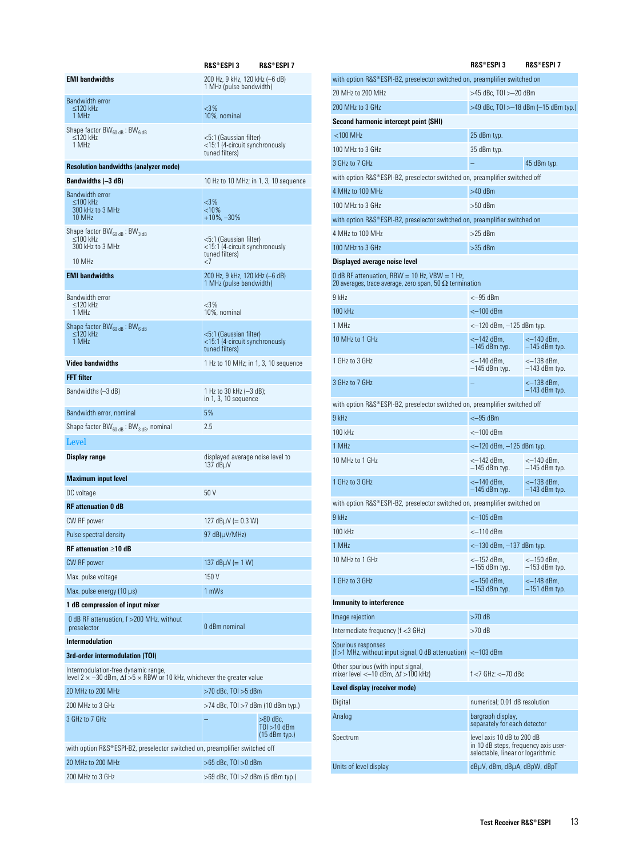|                                                                                                                                   | R&S®ESPI 3                                                                 | <b>R&amp;S®ESPI 7</b>                        |
|-----------------------------------------------------------------------------------------------------------------------------------|----------------------------------------------------------------------------|----------------------------------------------|
| <b>EMI</b> bandwidths                                                                                                             | 200 Hz, 9 kHz, 120 kHz (-6 dB)<br>1 MHz (pulse bandwidth)                  |                                              |
| <b>Bandwidth error</b><br>$\leq$ 120 kHz<br>1 MHz                                                                                 | $<$ 3%<br>10%, nominal                                                     |                                              |
| Shape factor $BW_{60dB}$ : BW <sub>6 dB</sub><br>$\leq$ 120 kHz<br>1 MHz                                                          | <5:1 (Gaussian filter)<br><15:1 (4-circuit synchronously<br>tuned filters) |                                              |
| <b>Resolution bandwidths (analyzer mode)</b>                                                                                      |                                                                            |                                              |
| Bandwidths (–3 dB)                                                                                                                | 10 Hz to 10 MHz; in 1, 3, 10 sequence                                      |                                              |
| Bandwidth error<br>$\leq$ 100 kHz<br>300 kHz to 3 MHz<br>10 MHz                                                                   | $<$ 3%<br>< 10%<br>$+10\%$ , $-30\%$                                       |                                              |
| Shape factor BW <sub>60 dB</sub> : BW <sub>3 dB</sub><br>≤100 kHz<br>300 kHz to 3 MHz                                             | <5:1 (Gaussian filter)<br><15:1 (4-circuit synchronously<br>tuned filters) |                                              |
| 10 MHz                                                                                                                            | -7                                                                         |                                              |
| <b>EMI</b> bandwidths                                                                                                             | 200 Hz, 9 kHz, 120 kHz (-6 dB)<br>1 MHz (pulse bandwidth)                  |                                              |
| <b>Bandwidth error</b><br>$<$ 120 kHz<br>1 MHz                                                                                    | $<$ 3%<br>10%, nominal                                                     |                                              |
| Shape factor $BW_{60,dB}$ : BW <sub>6,dB</sub><br>$\leq$ 120 kHz<br>1 MHz                                                         | <5:1 (Gaussian filter)<br><15:1 (4-circuit synchronously<br>tuned filters) |                                              |
| <b>Video bandwidths</b>                                                                                                           | 1 Hz to 10 MHz; in 1, 3, 10 sequence                                       |                                              |
| <b>FFT</b> filter                                                                                                                 |                                                                            |                                              |
| Bandwidths (-3 dB)                                                                                                                | 1 Hz to 30 kHz (—3 dB);<br>in 1, 3, 10 sequence                            |                                              |
| Bandwidth error, nominal                                                                                                          | 5%                                                                         |                                              |
| Shape factor $BW_{60 dB}$ : BW <sub>3 dB</sub> , nominal                                                                          | 2.5                                                                        |                                              |
| Level                                                                                                                             |                                                                            |                                              |
| Display range                                                                                                                     | displayed average noise level to<br>137 $dB\mu V$                          |                                              |
| <b>Maximum input level</b>                                                                                                        |                                                                            |                                              |
| DC voltage                                                                                                                        | 50V                                                                        |                                              |
| <b>RF</b> attenuation 0 dB                                                                                                        |                                                                            |                                              |
| CW RF power                                                                                                                       | 127 $dB\mu V (= 0.3 W)$                                                    |                                              |
| Pulse spectral density                                                                                                            | 97 dB(µV/MHz)                                                              |                                              |
| $RF$ attenuation $\geq 10$ dB                                                                                                     |                                                                            |                                              |
| CW RF power                                                                                                                       | 137 $dB\mu V (= 1 W)$                                                      |                                              |
| Max. pulse voltage                                                                                                                | 150 V                                                                      |                                              |
| Max. pulse energy (10 µs)                                                                                                         | 1 mWs                                                                      |                                              |
| 1 dB compression of input mixer                                                                                                   |                                                                            |                                              |
| 0 dB RF attenuation, f > 200 MHz, without<br>preselector                                                                          | 0 dBm nominal                                                              |                                              |
| Intermodulation                                                                                                                   |                                                                            |                                              |
| 3rd-order intermodulation (TOI)                                                                                                   |                                                                            |                                              |
| Intermodulation-free dynamic range,<br>level 2 $\times$ -30 dBm, $\Delta f > 5 \times$ RBW or 10 kHz, whichever the greater value |                                                                            |                                              |
| 20 MHz to 200 MHz                                                                                                                 | $>$ 70 dBc, TOI $>$ 5 dBm                                                  |                                              |
| 200 MHz to 3 GHz                                                                                                                  | >74 dBc, TOI >7 dBm (10 dBm typ.)                                          |                                              |
| 3 GHz to 7 GHz                                                                                                                    |                                                                            | $>80$ dBc,<br>T0I >10 dBm<br>$(15$ dBm typ.) |
| with option R&S®ESPI-B2, preselector switched on, preamplifier switched off                                                       |                                                                            |                                              |
| 20 MHz to 200 MHz                                                                                                                 | $>65$ dBc, TOI $>0$ dBm                                                    |                                              |
| 200 MHz to 3 GHz                                                                                                                  | >69 dBc, TOI >2 dBm (5 dBm typ.)                                           |                                              |

|                                                                                                                   | <b>R&amp;S®ESPI3</b>                                                                                    | R&S®ESPI7                            |
|-------------------------------------------------------------------------------------------------------------------|---------------------------------------------------------------------------------------------------------|--------------------------------------|
| with option R&S®ESPI-B2, preselector switched on, preamplifier switched on                                        |                                                                                                         |                                      |
| 20 MHz to 200 MHz                                                                                                 | >45 dBc, TOI >-20 dBm                                                                                   |                                      |
| 200 MHz to 3 GHz                                                                                                  |                                                                                                         | >49 dBc, TOI >—18 dBm (—15 dBm typ.) |
| Second harmonic intercept point (SHI)                                                                             |                                                                                                         |                                      |
| $<$ 100 MHz                                                                                                       | 25 dBm typ.                                                                                             |                                      |
| 100 MHz to 3 GHz                                                                                                  | 35 dBm typ.                                                                                             |                                      |
| 3 GHz to 7 GHz                                                                                                    |                                                                                                         | 45 dBm typ.                          |
| with option R&S®ESPI-B2, preselector switched on, preamplifier switched off                                       |                                                                                                         |                                      |
| 4 MHz to 100 MHz                                                                                                  | $>40$ dBm                                                                                               |                                      |
| 100 MHz to 3 GHz                                                                                                  | $>50$ dBm                                                                                               |                                      |
| with option R&S®ESPI-B2, preselector switched on, preamplifier switched on<br>4 MHz to 100 MHz                    | >25 dBm                                                                                                 |                                      |
| 100 MHz to 3 GHz                                                                                                  | >35 dBm                                                                                                 |                                      |
| Displayed average noise level                                                                                     |                                                                                                         |                                      |
| 0 dB RF attenuation, RBW = 10 Hz, $VBW = 1$ Hz,<br>20 averages, trace average, zero span, 50 $\Omega$ termination |                                                                                                         |                                      |
| 9 kHz                                                                                                             | <—95 dBm                                                                                                |                                      |
| 100 kHz                                                                                                           | <–100 dBm                                                                                               |                                      |
| 1 MHz                                                                                                             | <—120 dBm, —125 dBm typ.                                                                                |                                      |
| 10 MHz to 1 GHz                                                                                                   | <-142 dBm.<br>$-145$ dBm typ.                                                                           | <—140 dBm,<br>-145 dBm typ.          |
| 1 GHz to 3 GHz                                                                                                    | <—140 dBm,<br>—145 dBm typ.                                                                             | <–138 dBm,<br>—143 dBm typ.          |
| 3 GHz to 7 GHz                                                                                                    |                                                                                                         | <–138 dBm,<br>—143 dBm typ.          |
| with option R&S®ESPI-B2, preselector switched on, preamplifier switched off                                       |                                                                                                         |                                      |
| 9 kHz                                                                                                             | $<-95$ dBm                                                                                              |                                      |
| 100 kHz                                                                                                           | <–100 dBm                                                                                               |                                      |
| 1 MHz                                                                                                             | <—120 dBm, —125 dBm typ.                                                                                |                                      |
| 10 MHz to 1 GHz                                                                                                   | <—142 dBm,<br>—145 dBm typ.                                                                             | <—140 dBm,<br>—145 dBm typ.          |
| 1 GHz to 3 GHz                                                                                                    | <—140 dBm,<br>—145 dBm typ.                                                                             | <-138 dBm.<br>-143 dBm typ.          |
| with option R&S®ESPI-B2, preselector switched on, preamplifier switched on                                        |                                                                                                         |                                      |
| 9 kHz                                                                                                             | <–105 dBm                                                                                               |                                      |
| 100 kHz                                                                                                           | $<-110$ dBm                                                                                             |                                      |
| 1 MHz                                                                                                             | <- 130 dBm, -137 dBm typ.                                                                               |                                      |
| 10 MHz to 1 GHz                                                                                                   | <—152 dBm,<br>-155 dBm typ.                                                                             | <—150 dBm,<br>—153 dBm typ.          |
| 1 GHz to 3 GHz                                                                                                    | <—150 dBm,<br>$-153$ dBm typ.                                                                           | <—148 dBm,<br>$-151$ dBm typ.        |
| Immunity to interference                                                                                          |                                                                                                         |                                      |
| Image rejection                                                                                                   | $>70$ dB                                                                                                |                                      |
| Intermediate frequency (f <3 GHz)                                                                                 | >70 dB                                                                                                  |                                      |
| Spurious responses<br>$(f > 1$ MHz, without input signal, 0 dB attenuation) < -103 dBm                            |                                                                                                         |                                      |
| Other spurious (with input signal,<br>mixer level < $-10$ dBm, $\Delta f > 100$ kHz)                              | $f < 7$ GHz: $< -70$ dBc                                                                                |                                      |
| Level display (receiver mode)                                                                                     |                                                                                                         |                                      |
| Digital                                                                                                           | numerical; 0.01 dB resolution                                                                           |                                      |
| Analog                                                                                                            | bargraph display,<br>separately for each detector                                                       |                                      |
| Spectrum                                                                                                          | level axis 10 dB to 200 dB<br>in 10 dB steps, frequency axis user-<br>selectable, linear or logarithmic |                                      |
| Units of level display                                                                                            | dBµV, dBm, dBµA, dBpW, dBpT                                                                             |                                      |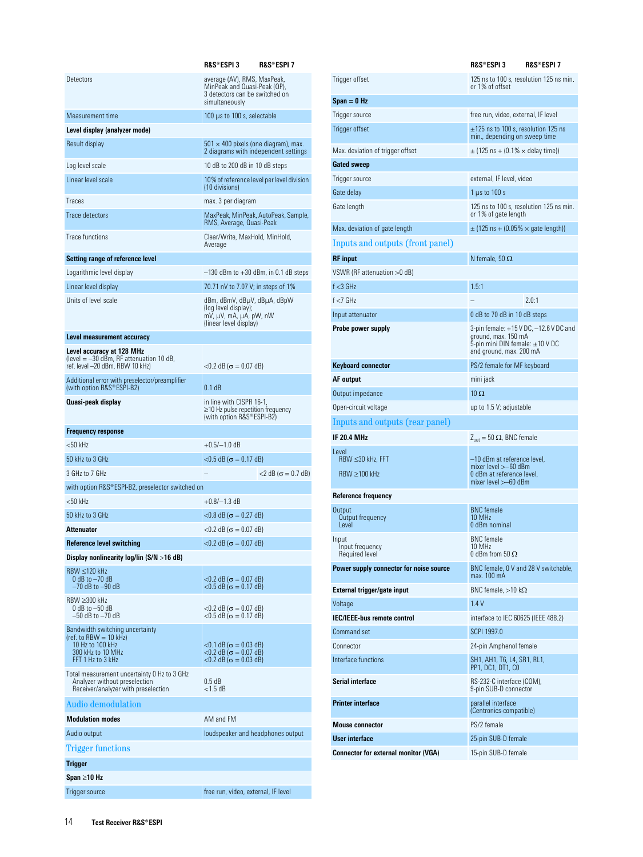|                                                                                                                     | R&S®ESPI 3                                                                                                      | R&S®ESPI 7                                |  |
|---------------------------------------------------------------------------------------------------------------------|-----------------------------------------------------------------------------------------------------------------|-------------------------------------------|--|
| Detectors                                                                                                           | average (AV), RMS, MaxPeak,<br>MinPeak and Quasi-Peak (QP),<br>3 detectors can be switched on<br>simultaneously |                                           |  |
| Measurement time                                                                                                    | 100 $\mu$ s to 100 s, selectable                                                                                |                                           |  |
| Level display (analyzer mode)                                                                                       |                                                                                                                 |                                           |  |
| Result display                                                                                                      | $501 \times 400$ pixels (one diagram), max.<br>2 diagrams with independent settings                             |                                           |  |
| Log level scale                                                                                                     | 10 dB to 200 dB in 10 dB steps                                                                                  |                                           |  |
| Linear level scale                                                                                                  | (10 divisions)                                                                                                  | 10% of reference level per level division |  |
| Traces                                                                                                              | max. 3 per diagram                                                                                              |                                           |  |
| <b>Trace detectors</b>                                                                                              | RMS, Average, Quasi-Peak                                                                                        | MaxPeak, MinPeak, AutoPeak, Sample,       |  |
| Trace functions                                                                                                     | Clear/Write, MaxHold, MinHold,<br>Average                                                                       |                                           |  |
| Setting range of reference level                                                                                    |                                                                                                                 |                                           |  |
| Logarithmic level display                                                                                           | $-130$ dBm to $+30$ dBm, in 0.1 dB steps                                                                        |                                           |  |
| Linear level display                                                                                                | 70.71 nV to 7.07 V; in steps of 1%                                                                              |                                           |  |
| Units of level scale                                                                                                | dBm, dBmV, dBµV, dBµA, dBpW<br>(log level display);<br>mV, µV, mA, µA, pW, nW<br>(linear level display)         |                                           |  |
| Level measurement accuracy                                                                                          |                                                                                                                 |                                           |  |
| Level accuracy at 128 MHz<br>(level $=$ -30 dBm, RF attenuation 10 dB,<br>ref. level -20 dBm, RBW 10 kHz)           | $<$ 0.2 dB ( $\sigma$ = 0.07 dB)                                                                                |                                           |  |
| Additional error with preselector/preamplifier<br>(with option R&S®ESPI-B2)                                         | 0.1 <sub>dB</sub>                                                                                               |                                           |  |
| Quasi-peak display                                                                                                  | in line with CISPR 16-1,<br>$\geq$ 10 Hz pulse repetition frequency<br>(with option R&S®ESPI-B2)                |                                           |  |
| <b>Frequency response</b>                                                                                           |                                                                                                                 |                                           |  |
| <50 kHz                                                                                                             | $+0.5/-1.0$ dB                                                                                                  |                                           |  |
| 50 kHz to 3 GHz                                                                                                     | $<$ 0.5 dB ( $\sigma$ = 0.17 dB)                                                                                |                                           |  |
| 3 GHz to 7 GHz                                                                                                      | $<$ 2 dB ( $\sigma$ = 0.7 dB)                                                                                   |                                           |  |
| with option R&S®ESPI-B2, preselector switched on                                                                    |                                                                                                                 |                                           |  |
| $<$ 50 kHz                                                                                                          | +0.8/—1.3 dB                                                                                                    |                                           |  |
| 50 kHz to 3 GHz                                                                                                     | $<$ 0.8 dB ( $\sigma$ = 0.27 dB)                                                                                |                                           |  |
| Attenuator                                                                                                          | $<$ 0.2 dB ( $\sigma$ = 0.07 dB)                                                                                |                                           |  |
| Reference level switching                                                                                           | $<$ 0.2 dB ( $\sigma$ = 0.07 dB)                                                                                |                                           |  |
| Display nonlinearity log/lin $(S/N > 16 dB)$                                                                        |                                                                                                                 |                                           |  |
| $RBW \leq 120$ kHz<br>$0$ dB to $-70$ dB<br>$-70$ dB to $-90$ dB                                                    | $<$ 0.2 dB ( $\sigma$ = 0.07 dB)<br>$<$ 0.5 dB ( $\sigma$ = 0.17 dB)                                            |                                           |  |
| RBW >300 kHz<br>$0$ dB to $-50$ dB<br>—50 dB to —70 dB                                                              | $<$ 0.2 dB ( $\sigma$ = 0.07 dB)<br>$<$ 0.5 dB ( $\sigma$ = 0.17 dB)                                            |                                           |  |
| Bandwidth switching uncertainty<br>(ref. to RBW $= 10$ kHz)<br>10 Hz to 100 kHz                                     | $<$ 0.1 dB ( $\sigma$ = 0.03 dB)                                                                                |                                           |  |
| 300 kHz to 10 MHz<br>FFT 1 Hz to 3 kHz                                                                              | $<$ 0.2 dB ( $\sigma$ = 0.07 dB)<br>$<$ 0.2 dB ( $\sigma$ = 0.03 dB)                                            |                                           |  |
| Total measurement uncertainty 0 Hz to 3 GHz<br>Analyzer without preselection<br>Receiver/analyzer with preselection | $0.5 \text{ dB}$<br>$<$ 1.5 dB                                                                                  |                                           |  |
| Audio demodulation                                                                                                  |                                                                                                                 |                                           |  |
| <b>Modulation modes</b>                                                                                             | AM and FM                                                                                                       |                                           |  |
| Audio output                                                                                                        | loudspeaker and headphones output                                                                               |                                           |  |
| Trigger functions                                                                                                   |                                                                                                                 |                                           |  |
| Trigger                                                                                                             |                                                                                                                 |                                           |  |
| Span ≥10 Hz                                                                                                         |                                                                                                                 |                                           |  |
| Trigger source                                                                                                      | free run, video, external, IF level                                                                             |                                           |  |

|                                            | <b>R&amp;S®ESPI7</b><br>R&S®ESPI 3                                                                                          |  |
|--------------------------------------------|-----------------------------------------------------------------------------------------------------------------------------|--|
| Trigger offset                             | 125 ns to 100 s, resolution 125 ns min.<br>or 1% of offset                                                                  |  |
| Span = 0 Hz                                |                                                                                                                             |  |
| Trigger source                             | free run, video, external, IF level                                                                                         |  |
| Trigger offset                             | $\pm$ 125 ns to 100 s, resolution 125 ns<br>min., depending on sweep time                                                   |  |
| Max. deviation of trigger offset           | $\pm$ (125 ns + (0.1% $\times$ delay time))                                                                                 |  |
| Gated sweep                                |                                                                                                                             |  |
| Trigger source                             | external, IF level, video                                                                                                   |  |
| Gate delay                                 | $1 \mu s$ to $100 s$                                                                                                        |  |
| Gate length                                | 125 ns to 100 s, resolution 125 ns min.<br>or 1% of gate length                                                             |  |
| Max. deviation of gate length              | $\pm$ (125 ns + (0.05% $\times$ gate length))                                                                               |  |
| Inputs and outputs (front panel)           |                                                                                                                             |  |
| RF input                                   | N female, 50 $\Omega$                                                                                                       |  |
| VSWR (RF attenuation >0 dB)                |                                                                                                                             |  |
| f <3 GHz                                   | 1.5:1                                                                                                                       |  |
| f <7 GHz                                   | 2.0:1                                                                                                                       |  |
| Input attenuator                           | 0 dB to 70 dB in 10 dB steps                                                                                                |  |
| Probe power supply                         | 3-pin female: +15 V DC, —12.6 V DC and<br>ground, max. 150 mA<br>5-pin mini DIN female: ±10 V DC<br>and ground, max. 200 mA |  |
| Keyboard connector                         | PS/2 female for MF keyboard                                                                                                 |  |
| AF output                                  | mini jack                                                                                                                   |  |
| Output impedance                           | $10 \Omega$                                                                                                                 |  |
| Open-circuit voltage                       | up to 1.5 V; adjustable                                                                                                     |  |
| Inputs and outputs (rear panel)            |                                                                                                                             |  |
| IF 20.4 MHz                                | $Z_{out} = 50 \Omega$ , BNC female                                                                                          |  |
| Level<br>$RBW \leq 30$ kHz, FFT            | –10 dBm at reference level,<br>mixer level >–60 dBm                                                                         |  |
| $RBW \geq 100$ kHz                         | 0 dBm at reference level,<br>mixer level $> -60$ dBm                                                                        |  |
| Reference frequency                        |                                                                                                                             |  |
| Output<br>Output frequency<br>Level        | <b>BNC</b> female<br>10 MHz<br>0 dBm nominal                                                                                |  |
| Input<br>Input frequency<br>Required level | <b>BNC</b> female<br>10 MHz<br>0 dBm from 50 $\Omega$                                                                       |  |
| Power supply connector for noise source    | BNC female, 0 V and 28 V switchable,<br>max. 100 mA                                                                         |  |
| External trigger/gate input                | BNC female, $>10$ k $\Omega$                                                                                                |  |
| Voltage                                    | 1.4V                                                                                                                        |  |
| IEC/IEEE-bus remote control                | interface to IEC 60625 (IEEE 488.2)                                                                                         |  |
| Command set                                | SCPI 1997.0                                                                                                                 |  |
| Connector                                  | 24-pin Amphenol female                                                                                                      |  |
| Interface functions                        | SH1, AH1, T6, L4, SR1, RL1,<br>PP1, DC1, DT1, CO                                                                            |  |
| Serial interface                           | RS-232-C interface (COM),<br>9-pin SUB-D connector                                                                          |  |
| Printer interface                          | parallel interface<br>(Centronics-compatible)                                                                               |  |
| Mouse connector                            | PS/2 female                                                                                                                 |  |
| User interface                             | 25-pin SUB-D female                                                                                                         |  |
| Connector for external monitor (VGA)       | 15-pin SUB-D female                                                                                                         |  |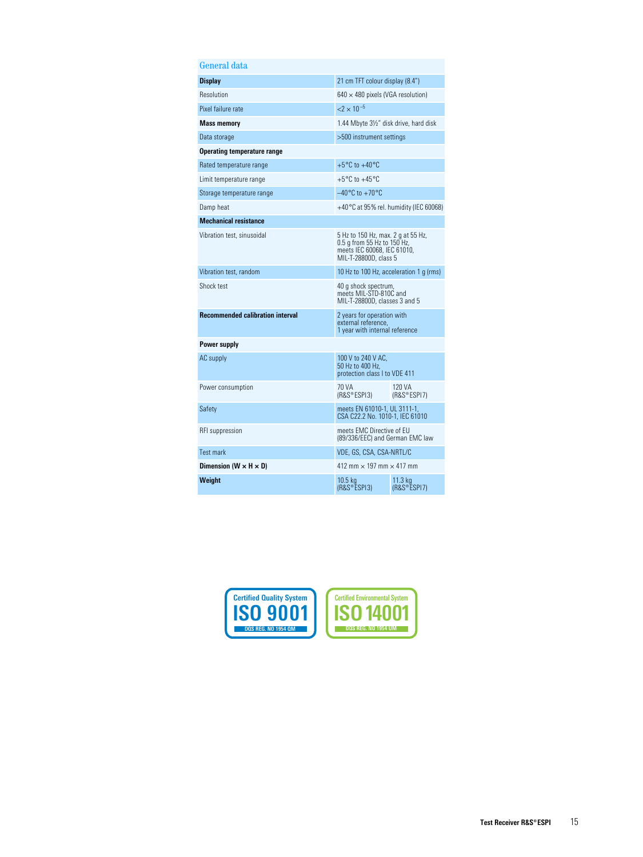| General data                            |                                                                                                                           |                                                 |
|-----------------------------------------|---------------------------------------------------------------------------------------------------------------------------|-------------------------------------------------|
| <b>Display</b>                          | 21 cm TFT colour display (8.4")                                                                                           |                                                 |
| Resolution                              | $640 \times 480$ pixels (VGA resolution)                                                                                  |                                                 |
| Pixel failure rate                      | $<$ 2 $\times$ 10 <sup>-5</sup>                                                                                           |                                                 |
| <b>Mass memory</b>                      | 1.44 Mbyte 31/2" disk drive, hard disk                                                                                    |                                                 |
| Data storage                            | >500 instrument settings                                                                                                  |                                                 |
| Operating temperature range             |                                                                                                                           |                                                 |
| Rated temperature range                 | $+5^{\circ}$ C to $+40^{\circ}$ C                                                                                         |                                                 |
| Limit temperature range                 | $+5^{\circ}$ C to $+45^{\circ}$ C                                                                                         |                                                 |
| Storage temperature range               | $-40^{\circ}$ C to $+70^{\circ}$ C                                                                                        |                                                 |
| Damp heat                               |                                                                                                                           | $+40\degree$ C at 95% rel. humidity (IEC 60068) |
| <b>Mechanical resistance</b>            |                                                                                                                           |                                                 |
| Vibration test, sinusoidal              | 5 Hz to 150 Hz, max. 2 g at 55 Hz,<br>0.5 g from 55 Hz to 150 Hz,<br>meets IEC 60068, IEC 61010,<br>MIL-T-28800D, class 5 |                                                 |
| Vibration test, random                  | 10 Hz to 100 Hz, acceleration 1 q (rms)                                                                                   |                                                 |
| Shock test                              | 40 g shock spectrum,<br>meets MIL-STD-810C and<br>MIL-T-28800D, classes 3 and 5                                           |                                                 |
| <b>Recommended calibration interval</b> | 2 years for operation with<br>external reference,<br>1 year with internal reference                                       |                                                 |
| Power supply                            |                                                                                                                           |                                                 |
| AC supply                               | 100 V to 240 V AC.<br>50 Hz to 400 Hz.<br>protection class I to VDE 411                                                   |                                                 |
| Power consumption                       | 70 VA<br>(R&S®ESPI3)                                                                                                      | 120 VA<br>(RAS <sup>®</sup> ESPI7)              |
| Safety                                  | meets EN 61010-1, UL 3111-1,<br>CSA C22.2 No. 1010-1, IEC 61010                                                           |                                                 |
| RFI suppression                         | meets EMC Directive of EU<br>(89/336/EEC) and German EMC law                                                              |                                                 |
| <b>Test mark</b>                        | VDE, GS, CSA, CSA-NRTL/C                                                                                                  |                                                 |
| Dimension (W $\times$ H $\times$ D)     | 412 mm $\times$ 197 mm $\times$ 417 mm                                                                                    |                                                 |
| Weight                                  | $10.5$ kg<br>(R&S®ESPI3)                                                                                                  | 11.3 kg<br>(RAS <sup>°</sup> ESPI7)             |